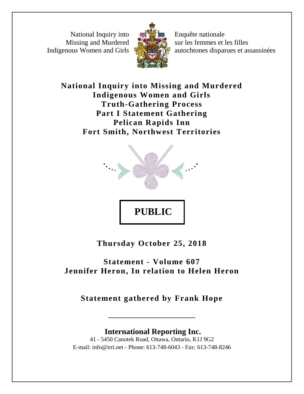National Inquiry into Missing and Murdered Indigenous Women and Girls



Enquête nationale sur les femmes et les filles autochtones disparues et assassinées

**National Inquiry into Missing and Murdered Indigenous Women and Girls Truth-Gathering Process Part I Statement Gathering Pelican Rapids Inn Fort Smith, Northwest Territories**



**Thursday October 25, 2018**

## **Statement - Volume 607 Jennifer Heron, In relation to Helen Heron**

**Statement gathered by Frank Hope**

**\_\_\_\_\_\_\_\_\_\_\_\_\_\_\_\_\_\_\_\_\_\_\_\_\_**

**International Reporting Inc.** 41 - 5450 Canotek Road, Ottawa, Ontario, K1J 9G2 E-mail: info@irri.net - Phone: 613-748-6043 - Fax: 613-748-8246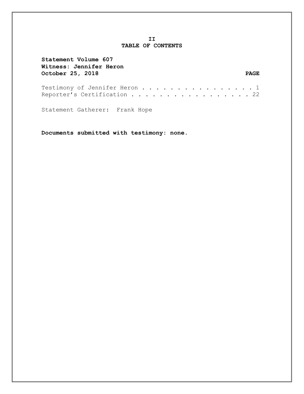## **II TABLE OF CONTENTS**

| Statement Volume 607<br>Witness: Jennifer Heron              |       |
|--------------------------------------------------------------|-------|
| October 25, 2018                                             | PAGE. |
| Testimony of Jennifer Heron 1<br>Reporter's Certification 22 |       |
| Statement Gatherer: Frank Hope                               |       |

**Documents submitted with testimony: none.**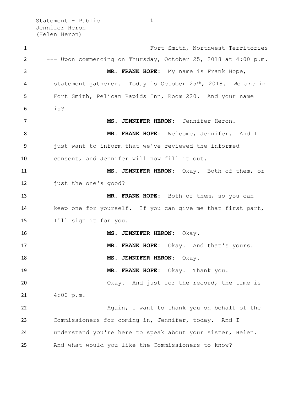Statement - Public **1** Jennifer Heron (Helen Heron)

 Fort Smith, Northwest Territories --- Upon commencing on Thursday, October 25, 2018 at 4:00 p.m. **MR. FRANK HOPE:** My name is Frank Hope, 4 statement gatherer. Today is October 25<sup>th</sup>, 2018. We are in Fort Smith, Pelican Rapids Inn, Room 220. And your name is? **MS. JENNIFER HERON:** Jennifer Heron. **MR. FRANK HOPE:** Welcome, Jennifer. And I just want to inform that we've reviewed the informed consent, and Jennifer will now fill it out. **MS. JENNIFER HERON:** Okay. Both of them, or just the one's good? **MR. FRANK HOPE:** Both of them, so you can keep one for yourself. If you can give me that first part, I'll sign it for you. **MS. JENNIFER HERON:** Okay. **MR. FRANK HOPE:** Okay. And that's yours. 18 MS. JENNIFER HERON: Okay. **MR. FRANK HOPE:** Okay. Thank you. 20 Okay. And just for the record, the time is  $4:00 \text{ p.m.}$ 22 Again, I want to thank you on behalf of the Commissioners for coming in, Jennifer, today. And I understand you're here to speak about your sister, Helen. And what would you like the Commissioners to know?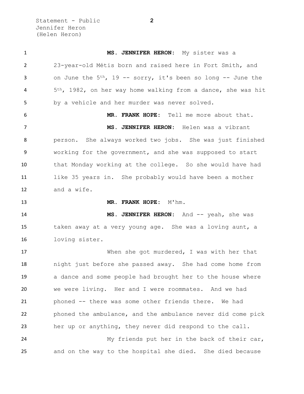Statement - Public **2** Jennifer Heron (Helen Heron)

 **MS. JENNIFER HERON:** My sister was a 23-year-old Métis born and raised here in Fort Smith, and 3 on June the 5<sup>th</sup>, 19 -- sorry, it's been so long -- June the 5th, 1982, on her way home walking from a dance, she was hit by a vehicle and her murder was never solved. **MR. FRANK HOPE:** Tell me more about that. **MS. JENNIFER HERON:** Helen was a vibrant person. She always worked two jobs. She was just finished working for the government, and she was supposed to start that Monday working at the college. So she would have had like 35 years in. She probably would have been a mother and a wife. 13 MR. FRANK HOPE: M'hm. **MS. JENNIFER HERON:** And -- yeah, she was taken away at a very young age. She was a loving aunt, a loving sister. When she got murdered, I was with her that night just before she passed away. She had come home from a dance and some people had brought her to the house where we were living. Her and I were roommates. And we had phoned -- there was some other friends there. We had phoned the ambulance, and the ambulance never did come pick her up or anything, they never did respond to the call. My friends put her in the back of their car, and on the way to the hospital she died. She died because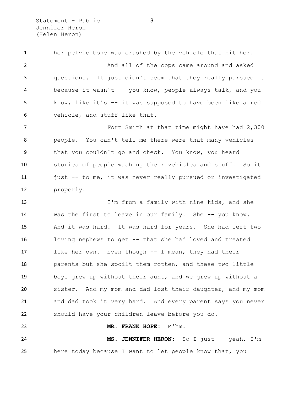Statement - Public **3** Jennifer Heron (Helen Heron)

 her pelvic bone was crushed by the vehicle that hit her. 2 And all of the cops came around and asked questions. It just didn't seem that they really pursued it because it wasn't -- you know, people always talk, and you know, like it's -- it was supposed to have been like a red vehicle, and stuff like that. Fort Smith at that time might have had 2,300

 people. You can't tell me there were that many vehicles that you couldn't go and check. You know, you heard stories of people washing their vehicles and stuff. So it just -- to me, it was never really pursued or investigated properly.

 I'm from a family with nine kids, and she was the first to leave in our family. She -- you know. And it was hard. It was hard for years. She had left two loving nephews to get -- that she had loved and treated like her own. Even though -- I mean, they had their parents but she spoilt them rotten, and these two little boys grew up without their aunt, and we grew up without a sister. And my mom and dad lost their daughter, and my mom and dad took it very hard. And every parent says you never should have your children leave before you do.

 **MS. JENNIFER HERON:** So I just -- yeah, I'm here today because I want to let people know that, you

**MR. FRANK HOPE:** M'hm.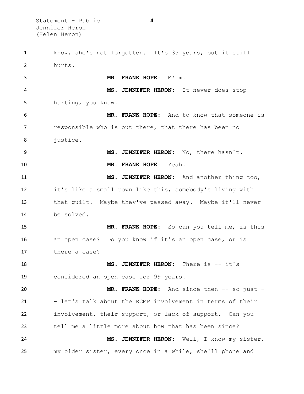Statement - Public **4** Jennifer Heron (Helen Heron)

 know, she's not forgotten. It's 35 years, but it still hurts. **MR. FRANK HOPE:** M'hm. **MS. JENNIFER HERON:** It never does stop hurting, you know. **MR. FRANK HOPE:** And to know that someone is responsible who is out there, that there has been no justice. **MS. JENNIFER HERON:** No, there hasn't. **MR. FRANK HOPE:** Yeah. **MS. JENNIFER HERON:** And another thing too, it's like a small town like this, somebody's living with that guilt. Maybe they've passed away. Maybe it'll never be solved. **MR. FRANK HOPE:** So can you tell me, is this an open case? Do you know if it's an open case, or is there a case? **MS. JENNIFER HERON:** There is -- it's considered an open case for 99 years. **MR. FRANK HOPE:** And since then -- so just - 21 - let's talk about the RCMP involvement in terms of their involvement, their support, or lack of support. Can you tell me a little more about how that has been since? **MS. JENNIFER HERON:** Well, I know my sister, my older sister, every once in a while, she'll phone and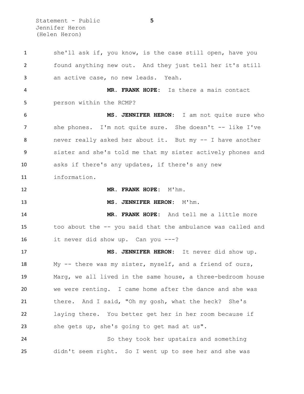Statement - Public **5** Jennifer Heron (Helen Heron)

 she'll ask if, you know, is the case still open, have you found anything new out. And they just tell her it's still an active case, no new leads. Yeah. **MR. FRANK HOPE:** Is there a main contact person within the RCMP? **MS. JENNIFER HERON:** I am not quite sure who she phones. I'm not quite sure. She doesn't -- like I've never really asked her about it. But my -- I have another sister and she's told me that my sister actively phones and asks if there's any updates, if there's any new information. **MR. FRANK HOPE:** M'hm. **MS. JENNIFER HERON:** M'hm. **MR. FRANK HOPE:** And tell me a little more too about the -- you said that the ambulance was called and it never did show up. Can you ---? **MS. JENNIFER HERON:** It never did show up. My -- there was my sister, myself, and a friend of ours, Marg, we all lived in the same house, a three-bedroom house we were renting. I came home after the dance and she was there. And I said, "Oh my gosh, what the heck? She's laying there. You better get her in her room because if she gets up, she's going to get mad at us". So they took her upstairs and something didn't seem right. So I went up to see her and she was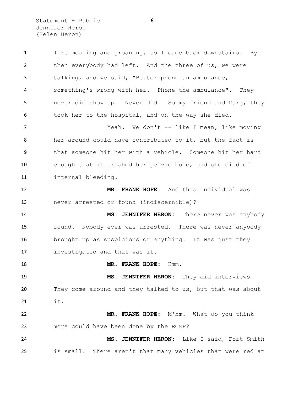Statement - Public **6** Jennifer Heron (Helen Heron)

 like moaning and groaning, so I came back downstairs. By then everybody had left. And the three of us, we were talking, and we said, "Better phone an ambulance, something's wrong with her. Phone the ambulance". They never did show up. Never did. So my friend and Marg, they 6 took her to the hospital, and on the way she died. Yeah. We don't -- like I mean, like moving her around could have contributed to it, but the fact is that someone hit her with a vehicle. Someone hit her hard enough that it crushed her pelvic bone, and she died of internal bleeding. **MR. FRANK HOPE:** And this individual was never arrested or found (indiscernible)? **MS. JENNIFER HERON:** There never was anybody found. Nobody ever was arrested. There was never anybody brought up as suspicious or anything. It was just they investigated and that was it. **MR. FRANK HOPE:** Hmm. **MS. JENNIFER HERON:** They did interviews. They come around and they talked to us, but that was about it. **MR. FRANK HOPE:** M'hm. What do you think more could have been done by the RCMP? **MS. JENNIFER HERON:** Like I said, Fort Smith is small. There aren't that many vehicles that were red at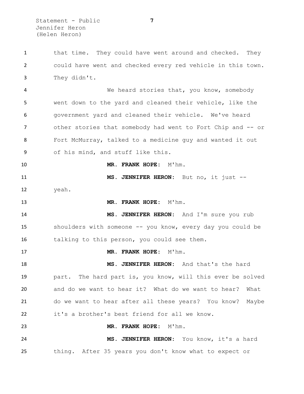1 that time. They could have went around and checked. They could have went and checked every red vehicle in this town. They didn't. We heard stories that, you know, somebody went down to the yard and cleaned their vehicle, like the government yard and cleaned their vehicle. We've heard 7 other stories that somebody had went to Fort Chip and -- or Fort McMurray, talked to a medicine guy and wanted it out of his mind, and stuff like this. **MR. FRANK HOPE:** M'hm. **MS. JENNIFER HERON:** But no, it just -- yeah. 13 MR. FRANK HOPE: M'hm. **MS. JENNIFER HERON:** And I'm sure you rub shoulders with someone -- you know, every day you could be talking to this person, you could see them. 17 MR. FRANK HOPE: M'hm. **MS. JENNIFER HERON:** And that's the hard part. The hard part is, you know, will this ever be solved and do we want to hear it? What do we want to hear? What do we want to hear after all these years? You know? Maybe it's a brother's best friend for all we know. **MR. FRANK HOPE:** M'hm. **MS. JENNIFER HERON:** You know, it's a hard thing. After 35 years you don't know what to expect or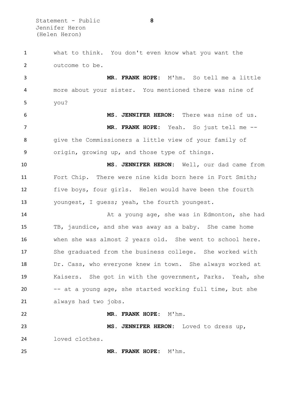Statement - Public **8** Jennifer Heron (Helen Heron)

 what to think. You don't even know what you want the outcome to be. **MR. FRANK HOPE:** M'hm. So tell me a little more about your sister. You mentioned there was nine of you? **MS. JENNIFER HERON:** There was nine of us. **MR. FRANK HOPE:** Yeah. So just tell me -- give the Commissioners a little view of your family of origin, growing up, and those type of things. **MS. JENNIFER HERON:** Well, our dad came from Fort Chip. There were nine kids born here in Fort Smith; five boys, four girls. Helen would have been the fourth youngest, I guess; yeah, the fourth youngest. **14** At a young age, she was in Edmonton, she had TB, jaundice, and she was away as a baby. She came home when she was almost 2 years old. She went to school here. She graduated from the business college. She worked with Dr. Cass, who everyone knew in town. She always worked at Kaisers. She got in with the government, Parks. Yeah, she -- at a young age, she started working full time, but she always had two jobs. **MR. FRANK HOPE:** M'hm. **MS. JENNIFER HERON:** Loved to dress up, loved clothes. **MR. FRANK HOPE:** M'hm.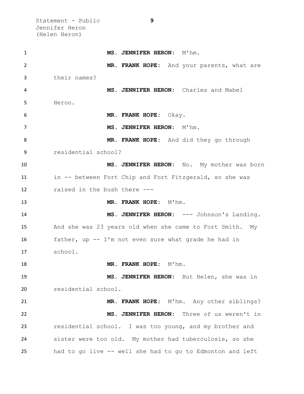Statement - Public **9** Jennifer Heron (Helen Heron)

| 1  | MS. JENNIFER HERON: M'hm.                                 |
|----|-----------------------------------------------------------|
| 2  | MR. FRANK HOPE: And your parents, what are                |
| 3  | their names?                                              |
| 4  | MS. JENNIFER HERON: Charles and Mabel                     |
| 5  | Heron.                                                    |
| 6  | MR. FRANK HOPE: Okay.                                     |
| 7  | MS. JENNIFER HERON: M'hm.                                 |
| 8  | MR. FRANK HOPE: And did they go through                   |
| 9  | residential school?                                       |
| 10 | MS. JENNIFER HERON: No. My mother was born                |
| 11 | in -- between Fort Chip and Fort Fitzgerald, so she was   |
| 12 | raised in the bush there ---                              |
| 13 | MR. FRANK HOPE: M'hm.                                     |
| 14 | MS. JENNIFER HERON: --- Johnson's Landing.                |
| 15 | And she was 23 years old when she came to Fort Smith. My  |
| 16 | father, up -- I'm not even sure what grade he had in      |
| 17 | school.                                                   |
| 18 | MR. FRANK HOPE: M'hm.                                     |
| 19 | MS. JENNIFER HERON: But Helen, she was in                 |
| 20 | residential school.                                       |
| 21 | MR. FRANK HOPE: M'hm. Any other siblings?                 |
| 22 | MS. JENNIFER HERON: Three of us weren't in                |
| 23 | residential school. I was too young, and my brother and   |
| 24 | sister were too old. My mother had tuberculosis, so she   |
| 25 | had to go live -- well she had to go to Edmonton and left |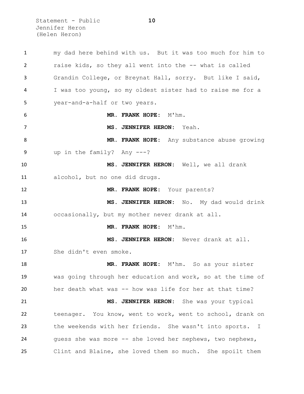Statement - Public **10** Jennifer Heron (Helen Heron)

 my dad here behind with us. But it was too much for him to raise kids, so they all went into the -- what is called Grandin College, or Breynat Hall, sorry. But like I said, I was too young, so my oldest sister had to raise me for a year-and-a-half or two years. **MR. FRANK HOPE:** M'hm. **MS. JENNIFER HERON:** Yeah. **MR. FRANK HOPE:** Any substance abuse growing up in the family? Any ---? **MS. JENNIFER HERON:** Well, we all drank alcohol, but no one did drugs. **MR. FRANK HOPE:** Your parents? **MS. JENNIFER HERON:** No. My dad would drink occasionally, but my mother never drank at all. 15 MR. FRANK HOPE: M'hm. **MS. JENNIFER HERON:** Never drank at all. She didn't even smoke. **MR. FRANK HOPE:** M'hm. So as your sister was going through her education and work, so at the time of her death what was -- how was life for her at that time? **MS. JENNIFER HERON:** She was your typical teenager. You know, went to work, went to school, drank on the weekends with her friends. She wasn't into sports. I guess she was more -- she loved her nephews, two nephews, Clint and Blaine, she loved them so much. She spoilt them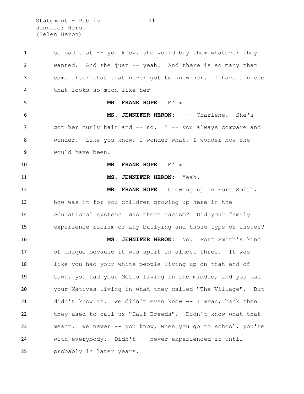Statement - Public **11** Jennifer Heron (Helen Heron)

 so bad that -- you know, she would buy them whatever they wanted. And she just -- yeah. And there is so many that came after that that never got to know her. I have a niece that looks so much like her --- **MR. FRANK HOPE:** M'hm. **MS. JENNIFER HERON:** --- Charlene. She's 7 and only hair and -- no. I -- you always compare and wonder. Like you know, I wonder what, I wonder how she would have been. **MR. FRANK HOPE:** M'hm. **MS. JENNIFER HERON:** Yeah. **MR. FRANK HOPE:** Growing up in Fort Smith, how was it for you children growing up here in the educational system? Was there racism? Did your family experience racism or any bullying and those type of issues? **MS. JENNIFER HERON:** No. Fort Smith's kind of unique because it was split in almost three. It was like you had your white people living up on that end of town, you had your Métis living in the middle, and you had your Natives living in what they called "The Village". But didn't know it. We didn't even know -- I mean, back then they used to call us "Half Breeds". Didn't know what that meant. We never -- you know, when you go to school, you're with everybody. Didn't -- never experienced it until probably in later years.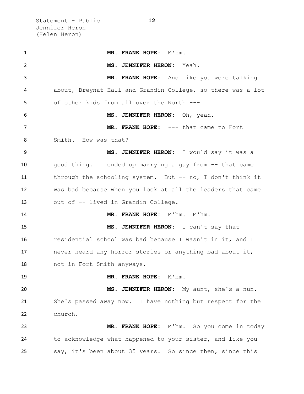Statement - Public **12** Jennifer Heron (Helen Heron)

 **MR. FRANK HOPE:** M'hm. **MS. JENNIFER HERON:** Yeah. **MR. FRANK HOPE:** And like you were talking about, Breynat Hall and Grandin College, so there was a lot of other kids from all over the North --- **MS. JENNIFER HERON:** Oh, yeah. **MR. FRANK HOPE:** --- that came to Fort Smith. How was that? **MS. JENNIFER HERON:** I would say it was a good thing. I ended up marrying a guy from -- that came through the schooling system. But -- no, I don't think it was bad because when you look at all the leaders that came out of -- lived in Grandin College. **MR. FRANK HOPE:** M'hm. M'hm. **MS. JENNIFER HERON:** I can't say that residential school was bad because I wasn't in it, and I never heard any horror stories or anything bad about it, not in Fort Smith anyways. **MR. FRANK HOPE:** M'hm. **MS. JENNIFER HERON:** My aunt, she's a nun. She's passed away now. I have nothing but respect for the church. **MR. FRANK HOPE:** M'hm. So you come in today to acknowledge what happened to your sister, and like you say, it's been about 35 years. So since then, since this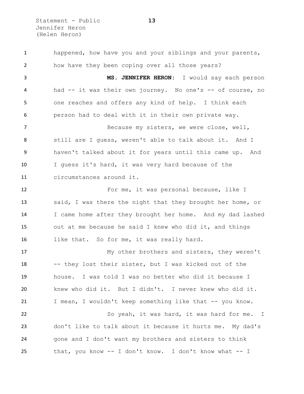Statement - Public **13** Jennifer Heron (Helen Heron)

 happened, how have you and your siblings and your parents, how have they been coping over all those years? **MS. JENNIFER HERON:** I would say each person had -- it was their own journey. No one's -- of course, no one reaches and offers any kind of help. I think each person had to deal with it in their own private way. Because my sisters, we were close, well, still are I guess, weren't able to talk about it. And I haven't talked about it for years until this came up. And I guess it's hard, it was very hard because of the circumstances around it. For me, it was personal because, like I said, I was there the night that they brought her home, or I came home after they brought her home. And my dad lashed out at me because he said I knew who did it, and things 16 like that. So for me, it was really hard. My other brothers and sisters, they weren't -- they lost their sister, but I was kicked out of the house. I was told I was no better who did it because I knew who did it. But I didn't. I never knew who did it. 21 I mean, I wouldn't keep something like that -- you know. So yeah, it was hard, it was hard for me. I don't like to talk about it because it hurts me. My dad's gone and I don't want my brothers and sisters to think that, you know -- I don't know. I don't know what -- I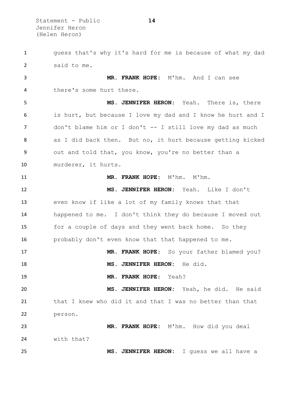Statement - Public **14** Jennifer Heron (Helen Heron)

 guess that's why it's hard for me is because of what my dad said to me. **MR. FRANK HOPE:** M'hm. And I can see there's some hurt there. **MS. JENNIFER HERON:** Yeah. There is, there is hurt, but because I love my dad and I know he hurt and I 7 don't blame him or I don't -- I still love my dad as much as I did back then. But no, it hurt because getting kicked out and told that, you know, you're no better than a murderer, it hurts. **MR. FRANK HOPE:** M'hm. M'hm. **MS. JENNIFER HERON:** Yeah. Like I don't even know if like a lot of my family knows that that happened to me. I don't think they do because I moved out for a couple of days and they went back home. So they probably don't even know that that happened to me. **MR. FRANK HOPE:** So your father blamed you? **MS. JENNIFER HERON:** He did. **MR. FRANK HOPE:** Yeah? **MS. JENNIFER HERON:** Yeah, he did. He said that I knew who did it and that I was no better than that person. **MR. FRANK HOPE:** M'hm. How did you deal with that? **MS. JENNIFER HERON:** I guess we all have a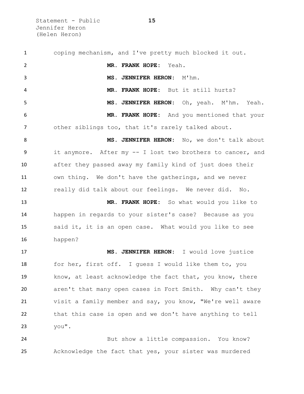Statement - Public **15** Jennifer Heron (Helen Heron)

 coping mechanism, and I've pretty much blocked it out. **MR. FRANK HOPE:** Yeah. **MS. JENNIFER HERON:** M'hm. **MR. FRANK HOPE:** But it still hurts? **MS. JENNIFER HERON:** Oh, yeah. M'hm. Yeah. **MR. FRANK HOPE:** And you mentioned that your other siblings too, that it's rarely talked about. **MS. JENNIFER HERON:** No, we don't talk about it anymore. After my -- I lost two brothers to cancer, and after they passed away my family kind of just does their own thing. We don't have the gatherings, and we never really did talk about our feelings. We never did. No. **MR. FRANK HOPE:** So what would you like to happen in regards to your sister's case? Because as you said it, it is an open case. What would you like to see happen? **MS. JENNIFER HERON:** I would love justice 18 for her, first off. I guess I would like them to, you know, at least acknowledge the fact that, you know, there aren't that many open cases in Fort Smith. Why can't they visit a family member and say, you know, "We're well aware that this case is open and we don't have anything to tell you". But show a little compassion. You know?

Acknowledge the fact that yes, your sister was murdered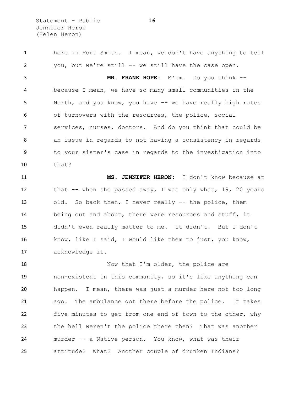Statement - Public **16** Jennifer Heron (Helen Heron)

 here in Fort Smith. I mean, we don't have anything to tell you, but we're still -- we still have the case open. **MR. FRANK HOPE:** M'hm. Do you think -- because I mean, we have so many small communities in the 5 North, and you know, you have -- we have really high rates of turnovers with the resources, the police, social services, nurses, doctors. And do you think that could be an issue in regards to not having a consistency in regards to your sister's case in regards to the investigation into that? **MS. JENNIFER HERON:** I don't know because at 12 that -- when she passed away, I was only what, 19, 20 years

 old. So back then, I never really -- the police, them being out and about, there were resources and stuff, it didn't even really matter to me. It didn't. But I don't know, like I said, I would like them to just, you know, acknowledge it.

18 Now that I'm older, the police are non-existent in this community, so it's like anything can happen. I mean, there was just a murder here not too long ago. The ambulance got there before the police. It takes 22 five minutes to get from one end of town to the other, why the hell weren't the police there then? That was another murder -- a Native person. You know, what was their attitude? What? Another couple of drunken Indians?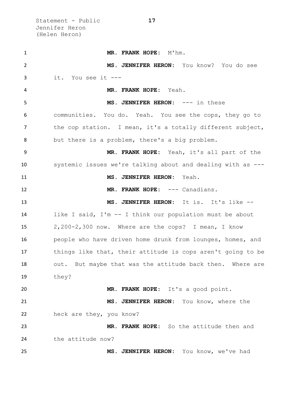Statement - Public **17** Jennifer Heron (Helen Heron)

 **MR. FRANK HOPE:** M'hm. **MS. JENNIFER HERON:** You know? You do see it. You see it --- **MR. FRANK HOPE:** Yeah. **MS. JENNIFER HERON:** --- in these communities. You do. Yeah. You see the cops, they go to 7 the cop station. I mean, it's a totally different subject, but there is a problem, there's a big problem. **MR. FRANK HOPE:** Yeah, it's all part of the systemic issues we're talking about and dealing with as --- **MS. JENNIFER HERON:** Yeah. **MR. FRANK HOPE:** --- Canadians. **MS. JENNIFER HERON:** It is. It's like -- like I said, I'm -- I think our population must be about 2,200-2,300 now. Where are the cops? I mean, I know people who have driven home drunk from lounges, homes, and things like that, their attitude is cops aren't going to be 18 out. But maybe that was the attitude back then. Where are they? **MR. FRANK HOPE:** It's a good point. **MS. JENNIFER HERON:** You know, where the heck are they, you know? **MR. FRANK HOPE:** So the attitude then and the attitude now? **MS. JENNIFER HERON:** You know, we've had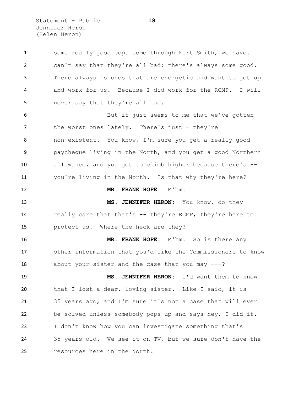Statement - Public **18** Jennifer Heron (Helen Heron)

| $\mathbf{1}$   | some really good cops come through Fort Smith, we have. I   |
|----------------|-------------------------------------------------------------|
| $\overline{2}$ | can't say that they're all bad; there's always some good.   |
| 3              | There always is ones that are energetic and want to get up  |
| 4              | and work for us. Because I did work for the RCMP. I will    |
| 5              | never say that they're all bad.                             |
| 6              | But it just seems to me that we've gotten                   |
| 7              | the worst ones lately. There's just - they're               |
| 8              | non-existent. You know, I'm sure you get a really good      |
| 9              | paycheque living in the North, and you get a good Northern  |
| 10             | allowance, and you get to climb higher because there's --   |
| 11             | you're living in the North. Is that why they're here?       |
| 12             | MR. FRANK HOPE: M'hm.                                       |
| 13             | MS. JENNIFER HERON: You know, do they                       |
| 14             | really care that that's -- they're RCMP, they're here to    |
| 15             | protect us. Where the heck are they?                        |
| 16             | MR. FRANK HOPE: M'hm. So is there any                       |
| 17             | other information that you'd like the Commissioners to know |
| 18             | about your sister and the case that you may $---?$          |
| 19             | MS. JENNIFER HERON: I'd want them to know                   |
| 20             | that I lost a dear, loving sister. Like I said, it is       |
| 21             | 35 years ago, and I'm sure it's not a case that will ever   |
| 22             | be solved unless somebody pops up and says hey, I did it.   |
| 23             | I don't know how you can investigate something that's       |
| 24             | 35 years old. We see it on TV, but we sure don't have the   |
| 25             | resources here in the North.                                |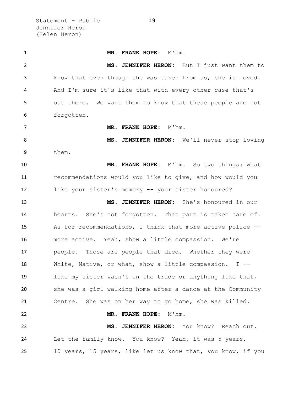Statement - Public **19** Jennifer Heron (Helen Heron)

 **MR. FRANK HOPE:** M'hm. **MS. JENNIFER HERON:** But I just want them to know that even though she was taken from us, she is loved. And I'm sure it's like that with every other case that's out there. We want them to know that these people are not forgotten. **MR. FRANK HOPE:** M'hm. **MS. JENNIFER HERON:** We'll never stop loving them. **MR. FRANK HOPE:** M'hm. So two things: what recommendations would you like to give, and how would you like your sister's memory -- your sister honoured? **MS. JENNIFER HERON:** She's honoured in our hearts. She's not forgotten. That part is taken care of. As for recommendations, I think that more active police -- more active. Yeah, show a little compassion. We're people. Those are people that died. Whether they were White, Native, or what, show a little compassion. I -- like my sister wasn't in the trade or anything like that, she was a girl walking home after a dance at the Community Centre. She was on her way to go home, she was killed. **MR. FRANK HOPE:** M'hm. **MS. JENNIFER HERON:** You know? Reach out. Let the family know. You know? Yeah, it was 5 years, 10 years, 15 years, like let us know that, you know, if you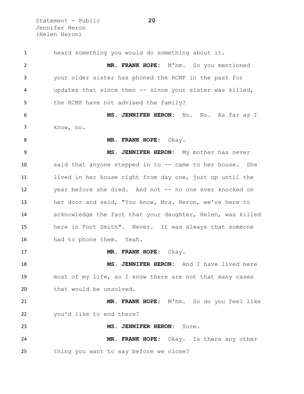Statement - Public **20** Jennifer Heron (Helen Heron)

 heard something you would do something about it. **MR. FRANK HOPE:** M'hm. So you mentioned your older sister has phoned the RCMP in the past for updates that since then -- since your sister was killed, 5 the RCMP have not advised the family? **MS. JENNIFER HERON:** No. No. As far as I know, no. **MR. FRANK HOPE:** Okay. **MS. JENNIFER HERON:** My mother has never said that anyone stepped in to -- came to her house. She lived in her house right from day one, just up until the year before she died. And not -- no one ever knocked on her door and said, "You know, Mrs. Heron, we're here to acknowledge the fact that your daughter, Helen, was killed here in Fort Smith". Never. It was always that someone had to phone them. Yeah. **MR. FRANK HOPE:** Okay. **MS. JENNIFER HERON:** And I have lived here most of my life, so I know there are not that many cases 20 that would be unsolved. **MR. FRANK HOPE:** M'hm. So do you feel like you'd like to end there? **MS. JENNIFER HERON:** Sure. **MR. FRANK HOPE:** Okay. Is there any other thing you want to say before we close?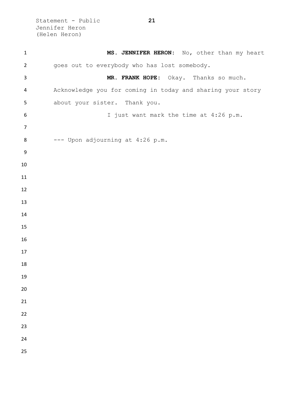Statement - Public **21** Jennifer Heron (Helen Heron)

| $\mathbf 1$      | MS. JENNIFER HERON: No, other than my heart                |
|------------------|------------------------------------------------------------|
| $\overline{2}$   | goes out to everybody who has lost somebody.               |
| 3                | MR. FRANK HOPE: Okay. Thanks so much.                      |
| 4                | Acknowledge you for coming in today and sharing your story |
| 5                | about your sister. Thank you.                              |
| 6                | I just want mark the time at 4:26 p.m.                     |
| $\overline{7}$   |                                                            |
| 8                | --- Upon adjourning at 4:26 p.m.                           |
| $\boldsymbol{9}$ |                                                            |
| 10               |                                                            |
| 11               |                                                            |
| 12               |                                                            |
| 13               |                                                            |
| 14               |                                                            |
| 15               |                                                            |
| 16               |                                                            |
| 17               |                                                            |
| 18               |                                                            |
| 19               |                                                            |
| 20               |                                                            |
| 21               |                                                            |
| 22               |                                                            |
| 23               |                                                            |
| 24<br>25         |                                                            |
|                  |                                                            |